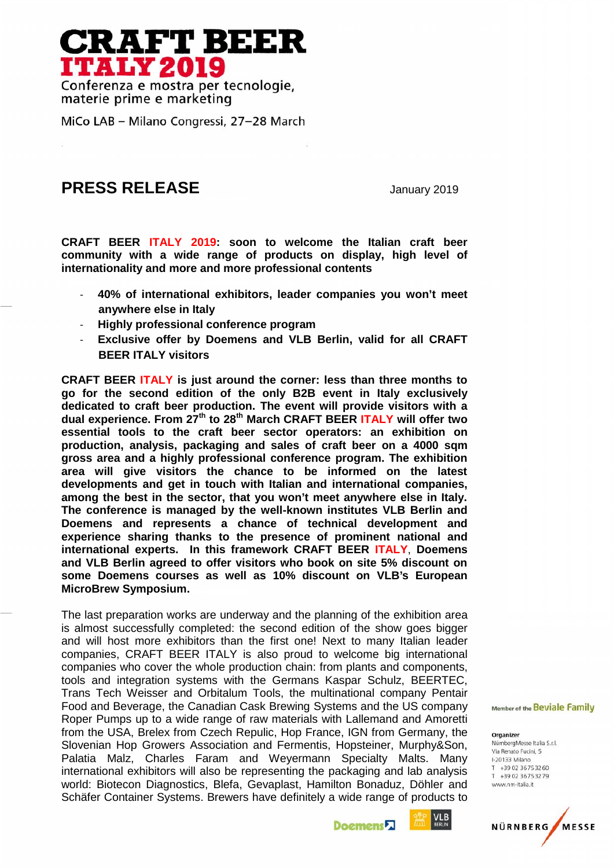## **CRAFT BEER ITALY 2019**

Conferenza e mostra per tecnologie, materie prime e marketing

MiCo LAB - Milano Congressi, 27-28 March

## **PRESS RELEASE** January 2019

**CRAFT BEER ITALY 2019: soon to welcome the Italian craft beer community with a wide range of products on display, high level of internationality and more and more professional contents**

- **40% of international exhibitors, leader companies you won't meet anywhere else in Italy**
- **Highly professional conference program**
- **Exclusive offer by Doemens and VLB Berlin, valid for all CRAFT BEER ITALY visitors**

**CRAFT BEER ITALY is just around the corner: less than three months to go for the second edition of the only B2B event in Italy exclusively dedicated to craft beer production. The event will provide visitors with a dual experience. From 27th to 28th March CRAFT BEER ITALY will offer two essential tools to the craft beer sector operators: an exhibition on production, analysis, packaging and sales of craft beer on a 4000 sqm gross area and a highly professional conference program. The exhibition area will give visitors the chance to be informed on the latest developments and get in touch with Italian and international companies, among the best in the sector, that you won't meet anywhere else in Italy. The conference is managed by the well-known institutes VLB Berlin and Doemens and represents a chance of technical development and experience sharing thanks to the presence of prominent national and international experts. In this framework CRAFT BEER ITALY**, **Doemens and VLB Berlin agreed to offer visitors who book on site 5% discount on some Doemens courses as well as 10% discount on VLB's European MicroBrew Symposium.**

The last preparation works are underway and the planning of the exhibition area is almost successfully completed: the second edition of the show goes bigger and will host more exhibitors than the first one! Next to many Italian leader companies, CRAFT BEER ITALY is also proud to welcome big international companies who cover the whole production chain: from plants and components, tools and integration systems with the Germans Kaspar Schulz, BEERTEC, Trans Tech Weisser and Orbitalum Tools, the multinational company Pentair Food and Beverage, the Canadian Cask Brewing Systems and the US company Member of the Beviale Family Roper Pumps up to a wide range of raw materials with Lallemand and Amoretti from the USA, Brelex from Czech Repulic, Hop France, IGN from Germany, the organizer organizer Slovenian Hop Growers Association and Fermentis, Hopsteiner, Murphy&Son, Sloveman Hop Slowers Association and Temmeritis, Hopsteller, Marphydoon, Via Renato Fucini, 5<br>Palatia Malz, Charles Faram and Weyermann Specialty Malts. Many 1-20133 Milano<br>international oxhibitors will also be representin international exhibitors will also be representing the packaging and lab analysis  $\frac{1}{1}$   $+390236753279$ world: Biotecon Diagnostics, Blefa, Gevaplast, Hamilton Bonaduz, Döhler and Schäfer Container Systems. Brewers have definitely a wide range of products to



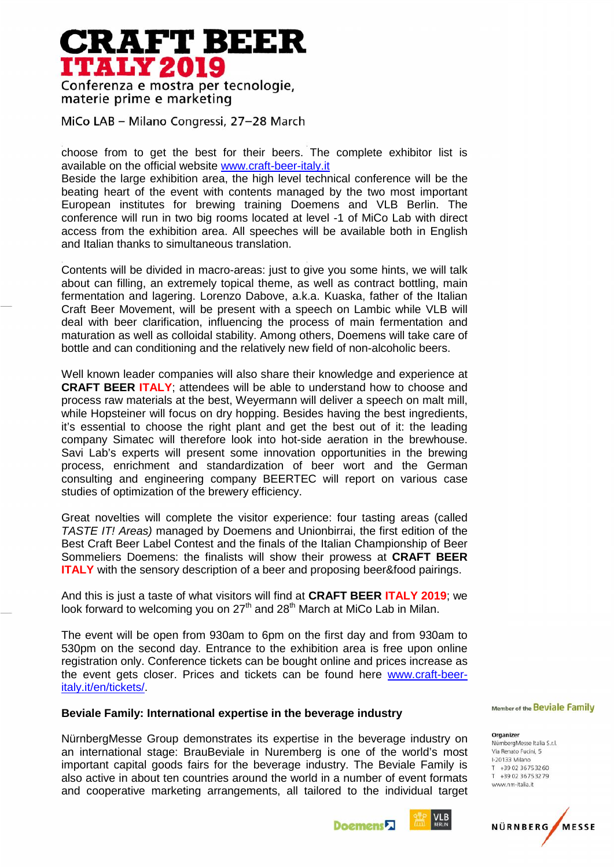## **RAFT BEER ITALY 2019**

Conferenza e mostra per tecnologie, materie prime e marketing

MiCo LAB - Milano Congressi, 27-28 March

choose from to get the best for their beers. The complete exhibitor list is available on the official website www.craft-beer-italy.it

Beside the large exhibition area, the high level technical conference will be the beating heart of the event with contents managed by the two most important European institutes for brewing training Doemens and VLB Berlin. The conference will run in two big rooms located at level -1 of MiCo Lab with direct access from the exhibition area. All speeches will be available both in English and Italian thanks to simultaneous translation.

Contents will be divided in macro-areas: just to give you some hints, we will talk about can filling, an extremely topical theme, as well as contract bottling, main fermentation and lagering. Lorenzo Dabove, a.k.a. Kuaska, father of the Italian Craft Beer Movement, will be present with a speech on Lambic while VLB will deal with beer clarification, influencing the process of main fermentation and maturation as well as colloidal stability. Among others, Doemens will take care of bottle and can conditioning and the relatively new field of non-alcoholic beers.

Well known leader companies will also share their knowledge and experience at **CRAFT BEER ITALY**; attendees will be able to understand how to choose and process raw materials at the best, Weyermann will deliver a speech on malt mill, while Hopsteiner will focus on dry hopping. Besides having the best ingredients, it's essential to choose the right plant and get the best out of it: the leading company Simatec will therefore look into hot-side aeration in the brewhouse. Savi Lab's experts will present some innovation opportunities in the brewing process, enrichment and standardization of beer wort and the German consulting and engineering company BEERTEC will report on various case studies of optimization of the brewery efficiency.

Great novelties will complete the visitor experience: four tasting areas (called *TASTE IT! Areas)* managed by Doemens and Unionbirrai, the first edition of the Best Craft Beer Label Contest and the finals of the Italian Championship of Beer Sommeliers Doemens: the finalists will show their prowess at **CRAFT BEER ITALY** with the sensory description of a beer and proposing beer&food pairings.

And this is just a taste of what visitors will find at **CRAFT BEER ITALY 2019**; we look forward to welcoming you on  $27<sup>th</sup>$  and  $28<sup>th</sup>$  March at MiCo Lab in Milan.

The event will be open from 930am to 6pm on the first day and from 930am to 530pm on the second day. Entrance to the exhibition area is free upon online registration only. Conference tickets can be bought online and prices increase as the event gets closer. Prices and tickets can be found here www.craft-beeritaly.it/en/tickets/.

## **Beviale Family: International expertise in the beverage industry**

NürnbergMesse Group demonstrates its expertise in the beverage industry on organizer propontesse Italia S.r.I. an international stage: BrauBeviale in Nuremberg is one of the world's most Via Renato Fucini, 5 important capital goods fairs for the beverage industry. The Beviale Family is  $\frac{1}{1}$   $\frac{1}{1}$   $\frac{39023673260}{1}{30236753279}$ also active in about ten countries around the world in a number of event formats  $\frac{1}{2}$ and cooperative marketing arrangements, all tailored to the individual target